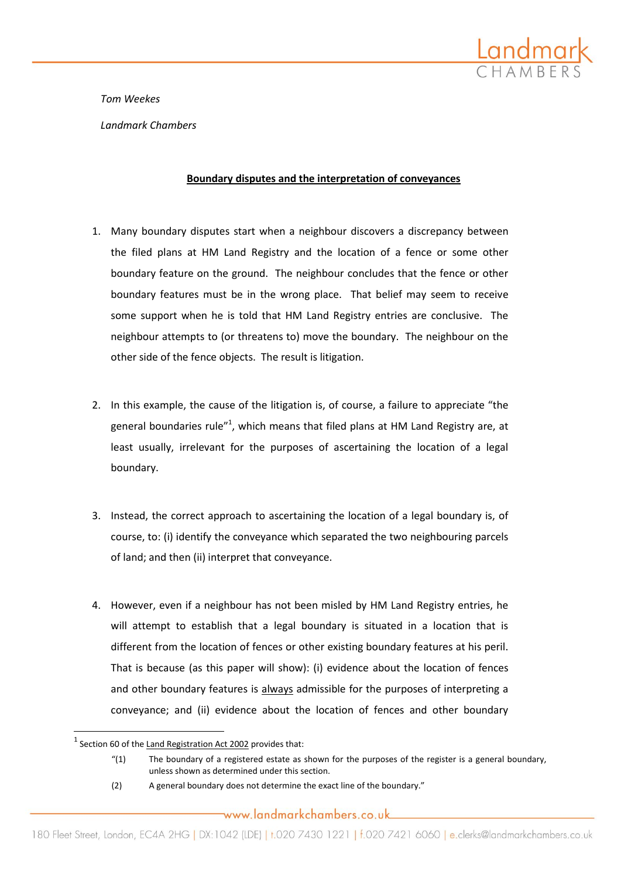

*Tom Weekes*

*Landmark Chambers*

## **Boundary disputes and the interpretation of conveyances**

- 1. Many boundary disputes start when a neighbour discovers a discrepancy between the filed plans at HM Land Registry and the location of a fence or some other boundary feature on the ground. The neighbour concludes that the fence or other boundary features must be in the wrong place. That belief may seem to receive some support when he is told that HM Land Registry entries are conclusive. The neighbour attempts to (or threatens to) move the boundary. The neighbour on the other side of the fence objects. The result is litigation.
- 2. In this example, the cause of the litigation is, of course, a failure to appreciate "the general boundaries rule"<sup>1</sup>, which means that filed plans at HM Land Registry are, at least usually, irrelevant for the purposes of ascertaining the location of a legal boundary.
- 3. Instead, the correct approach to ascertaining the location of a legal boundary is, of course, to: (i) identify the conveyance which separated the two neighbouring parcels of land; and then (ii) interpret that conveyance.
- 4. However, even if a neighbour has not been misled by HM Land Registry entries, he will attempt to establish that a legal boundary is situated in a location that is different from the location of fences or other existing boundary features at his peril. That is because (as this paper will show): (i) evidence about the location of fences and other boundary features is always admissible for the purposes of interpreting a conveyance; and (ii) evidence about the location of fences and other boundary

 $\overline{\phantom{a}}$ 

 $^{1}$  Section 60 of the Land Registration Act 2002 provides that:

<sup>&</sup>quot;(1) The boundary of a registered estate as shown for the purposes of the register is a general boundary, unless shown as determined under this section.

<sup>(2)</sup> A general boundary does not determine the exact line of the boundary."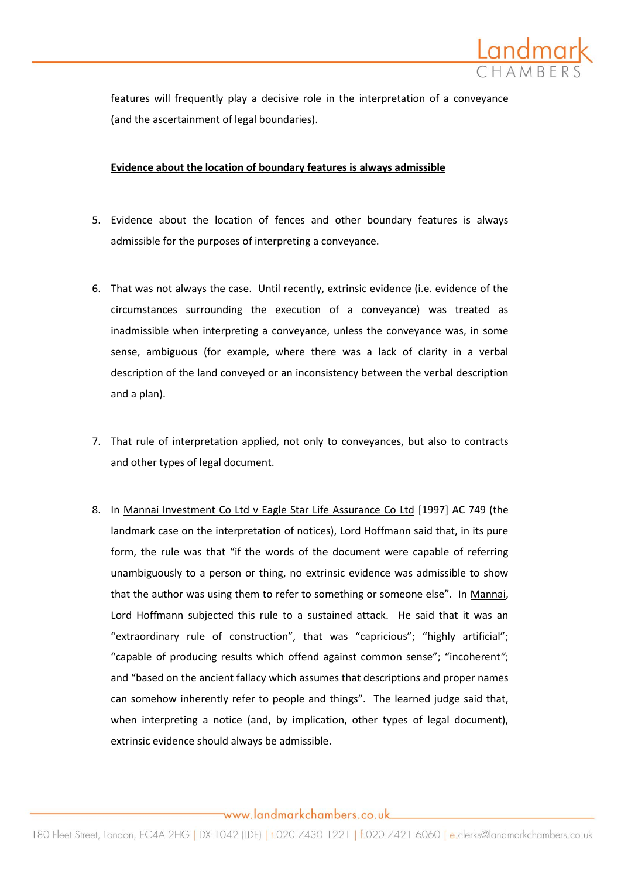

features will frequently play a decisive role in the interpretation of a conveyance (and the ascertainment of legal boundaries).

## **Evidence about the location of boundary features is always admissible**

- 5. Evidence about the location of fences and other boundary features is always admissible for the purposes of interpreting a conveyance.
- 6. That was not always the case. Until recently, extrinsic evidence (i.e. evidence of the circumstances surrounding the execution of a conveyance) was treated as inadmissible when interpreting a conveyance, unless the conveyance was, in some sense, ambiguous (for example, where there was a lack of clarity in a verbal description of the land conveyed or an inconsistency between the verbal description and a plan).
- 7. That rule of interpretation applied, not only to conveyances, but also to contracts and other types of legal document.
- 8. In Mannai Investment Co Ltd v Eagle Star Life Assurance Co Ltd [1997] AC 749 (the landmark case on the interpretation of notices), Lord Hoffmann said that, in its pure form, the rule was that "if the words of the document were capable of referring unambiguously to a person or thing, no extrinsic evidence was admissible to show that the author was using them to refer to something or someone else". In Mannai, Lord Hoffmann subjected this rule to a sustained attack. He said that it was an "extraordinary rule of construction", that was "capricious"; "highly artificial"; "capable of producing results which offend against common sense"; "incoherent*"*; and "based on the ancient fallacy which assumes that descriptions and proper names can somehow inherently refer to people and things"*.* The learned judge said that, when interpreting a notice (and, by implication, other types of legal document), extrinsic evidence should always be admissible.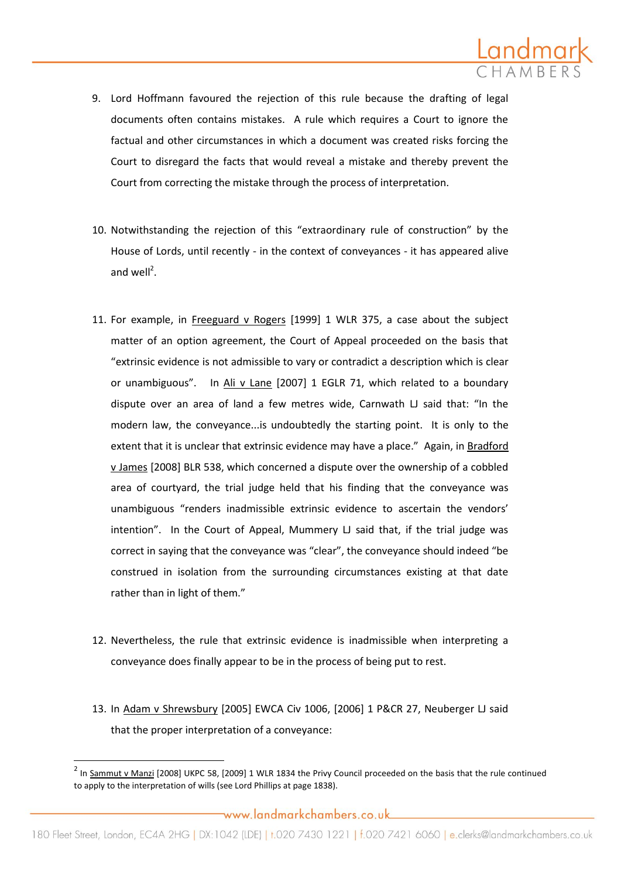

- 9. Lord Hoffmann favoured the rejection of this rule because the drafting of legal documents often contains mistakes. A rule which requires a Court to ignore the factual and other circumstances in which a document was created risks forcing the Court to disregard the facts that would reveal a mistake and thereby prevent the Court from correcting the mistake through the process of interpretation.
- 10. Notwithstanding the rejection of this "extraordinary rule of construction" by the House of Lords, until recently - in the context of conveyances - it has appeared alive and well<sup>2</sup>.
- 11. For example, in Freeguard v Rogers [1999] 1 WLR 375, a case about the subject matter of an option agreement, the Court of Appeal proceeded on the basis that "extrinsic evidence is not admissible to vary or contradict a description which is clear or unambiguous".In Ali v Lane [2007] 1 EGLR 71, which related to a boundary dispute over an area of land a few metres wide, Carnwath LJ said that: "In the modern law, the conveyance...is undoubtedly the starting point. It is only to the extent that it is unclear that extrinsic evidence may have a place."Again, in Bradford v James [2008] BLR 538, which concerned a dispute over the ownership of a cobbled area of courtyard, the trial judge held that his finding that the conveyance was unambiguous "renders inadmissible extrinsic evidence to ascertain the vendors' intention". In the Court of Appeal, Mummery LJ said that, if the trial judge was correct in saying that the conveyance was "clear", the conveyance should indeed "be construed in isolation from the surrounding circumstances existing at that date rather than in light of them."
- 12. Nevertheless, the rule that extrinsic evidence is inadmissible when interpreting a conveyance does finally appear to be in the process of being put to rest.
- 13. In Adam v Shrewsbury [2005] EWCA Civ 1006, [2006] 1 P&CR 27, Neuberger LJ said that the proper interpretation of a conveyance:

 $\overline{\phantom{a}}$ 

 $^2$  In Sammut v Manzi [2008] UKPC 58, [2009] 1 WLR 1834 the Privy Council proceeded on the basis that the rule continued to apply to the interpretation of wills (see Lord Phillips at page 1838).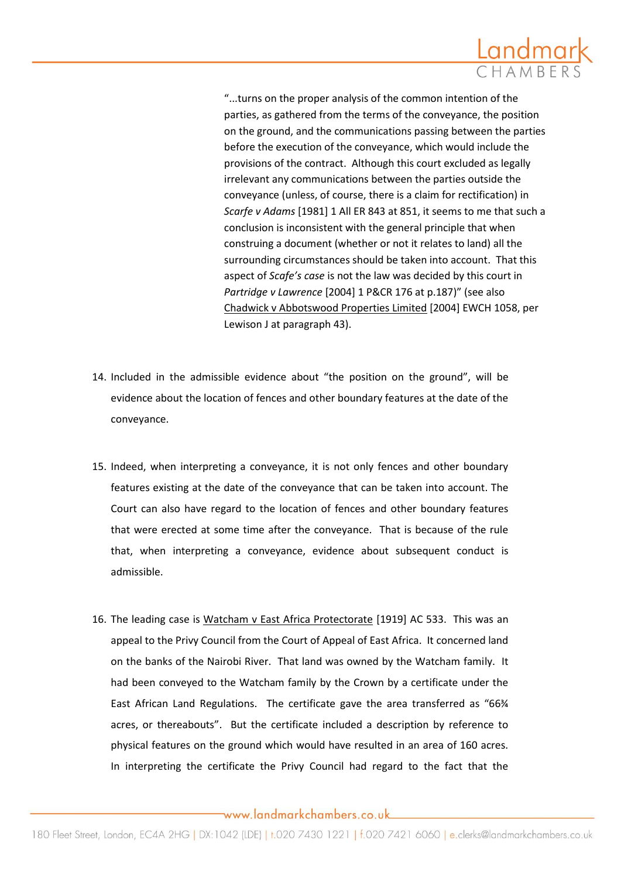

"...turns on the proper analysis of the common intention of the parties, as gathered from the terms of the conveyance, the position on the ground, and the communications passing between the parties before the execution of the conveyance, which would include the provisions of the contract. Although this court excluded as legally irrelevant any communications between the parties outside the conveyance (unless, of course, there is a claim for rectification) in *Scarfe v Adams* [1981] 1 All ER 843 at 851, it seems to me that such a conclusion is inconsistent with the general principle that when construing a document (whether or not it relates to land) all the surrounding circumstances should be taken into account. That this aspect of *Scafe's case* is not the law was decided by this court in Partridge v Lawrence [2004] 1 P&CR 176 at p.187)" (see also Chadwick v Abbotswood Properties Limited [2004] EWCH 1058, per Lewison J at paragraph 43).

- 14. Included in the admissible evidence about "the position on the ground", will be evidence about the location of fences and other boundary features at the date of the conveyance.
- 15. Indeed, when interpreting a conveyance, it is not only fences and other boundary features existing at the date of the conveyance that can be taken into account. The Court can also have regard to the location of fences and other boundary features that were erected at some time after the conveyance. That is because of the rule that, when interpreting a conveyance, evidence about subsequent conduct is admissible.
- 16. The leading case is Watcham v East Africa Protectorate [1919] AC 533. This was an appeal to the Privy Council from the Court of Appeal of East Africa. It concerned land on the banks of the Nairobi River. That land was owned by the Watcham family. It had been conveyed to the Watcham family by the Crown by a certificate under the East African Land Regulations. The certificate gave the area transferred as "66¾ acres, or thereabouts". But the certificate included a description by reference to physical features on the ground which would have resulted in an area of 160 acres. In interpreting the certificate the Privy Council had regard to the fact that the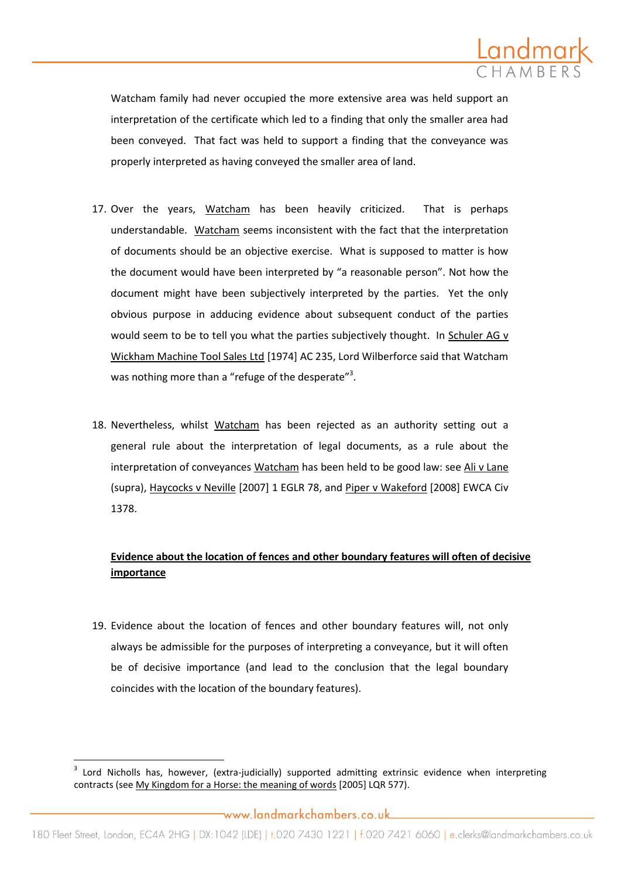

Watcham family had never occupied the more extensive area was held support an interpretation of the certificate which led to a finding that only the smaller area had been conveyed. That fact was held to support a finding that the conveyance was properly interpreted as having conveyed the smaller area of land.

- 17. Over the years, Watcham has been heavily criticized. That is perhaps understandable. Watcham seems inconsistent with the fact that the interpretation of documents should be an objective exercise. What is supposed to matter is how the document would have been interpreted by "a reasonable person". Not how the document might have been subjectively interpreted by the parties. Yet the only obvious purpose in adducing evidence about subsequent conduct of the parties would seem to be to tell you what the parties subjectively thought. In Schuler AG v Wickham Machine Tool Sales Ltd [1974] AC 235, Lord Wilberforce said that Watcham was nothing more than a "refuge of the desperate"<sup>3</sup>.
- 18. Nevertheless, whilst Watcham has been rejected as an authority setting out a general rule about the interpretation of legal documents, as a rule about the interpretation of conveyances Watcham has been held to be good law: see Ali v Lane (supra), Haycocks v Neville [2007] 1 EGLR 78, and Piper v Wakeford [2008] EWCA Civ 1378.

## **Evidence about the location of fences and other boundary features will often of decisive importance**

19. Evidence about the location of fences and other boundary features will, not only always be admissible for the purposes of interpreting a conveyance, but it will often be of decisive importance (and lead to the conclusion that the legal boundary coincides with the location of the boundary features).

 $\overline{\phantom{a}}$ 

<sup>3</sup> Lord Nicholls has, however, (extra-judicially) supported admitting extrinsic evidence when interpreting contracts (see My Kingdom for a Horse: the meaning of words [2005] LQR 577).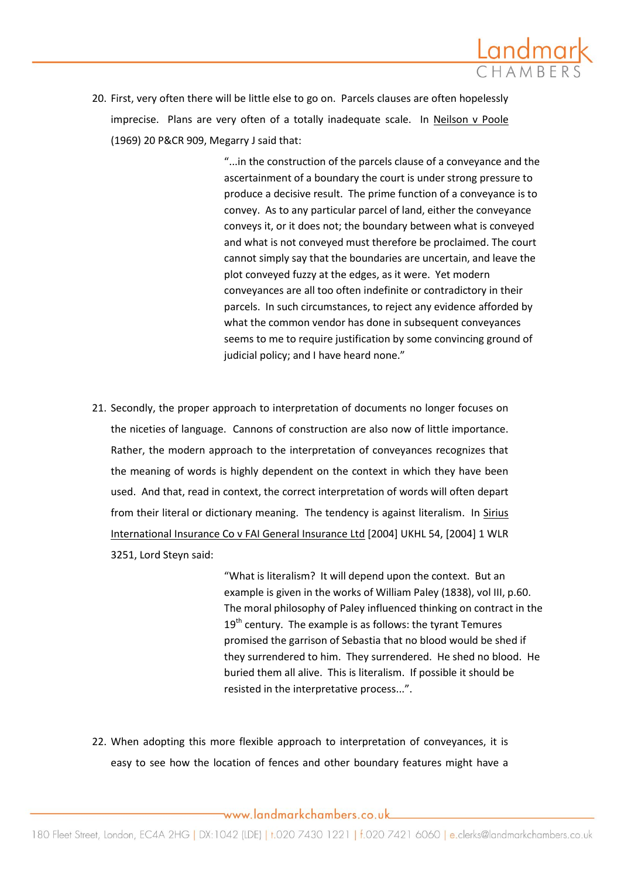

20. First, very often there will be little else to go on. Parcels clauses are often hopelessly imprecise. Plans are very often of a totally inadequate scale. In Neilson v Poole (1969) 20 P&CR 909, Megarry J said that:

> "...in the construction of the parcels clause of a conveyance and the ascertainment of a boundary the court is under strong pressure to produce a decisive result. The prime function of a conveyance is to convey. As to any particular parcel of land, either the conveyance conveys it, or it does not; the boundary between what is conveyed and what is not conveyed must therefore be proclaimed. The court cannot simply say that the boundaries are uncertain, and leave the plot conveyed fuzzy at the edges, as it were. Yet modern conveyances are all too often indefinite or contradictory in their parcels. In such circumstances, to reject any evidence afforded by what the common vendor has done in subsequent conveyances seems to me to require justification by some convincing ground of judicial policy; and I have heard none."

21. Secondly, the proper approach to interpretation of documents no longer focuses on the niceties of language. Cannons of construction are also now of little importance. Rather, the modern approach to the interpretation of conveyances recognizes that the meaning of words is highly dependent on the context in which they have been used. And that, read in context, the correct interpretation of words will often depart from their literal or dictionary meaning. The tendency is against literalism. In Sirius International Insurance Co v FAI General Insurance Ltd [2004] UKHL 54, [2004] 1 WLR 3251, Lord Steyn said:

> "What is literalism? It will depend upon the context. But an example is given in the works of William Paley (1838), vol III, p.60. The moral philosophy of Paley influenced thinking on contract in the  $19<sup>th</sup>$  century. The example is as follows: the tyrant Temures promised the garrison of Sebastia that no blood would be shed if they surrendered to him. They surrendered. He shed no blood. He buried them all alive. This is literalism. If possible it should be resisted in the interpretative process...".

22. When adopting this more flexible approach to interpretation of conveyances, it is easy to see how the location of fences and other boundary features might have a